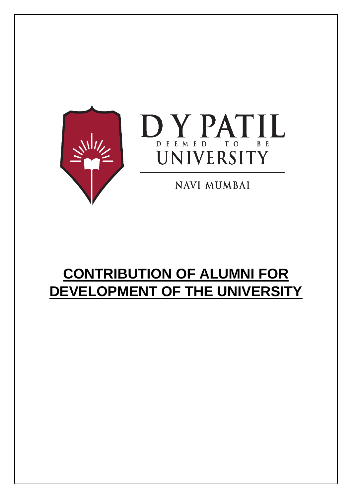



**NAVI MUMBAI** 

### **CONTRIBUTION OF ALUMNI FOR DEVELOPMENT OF THE UNIVERSITY**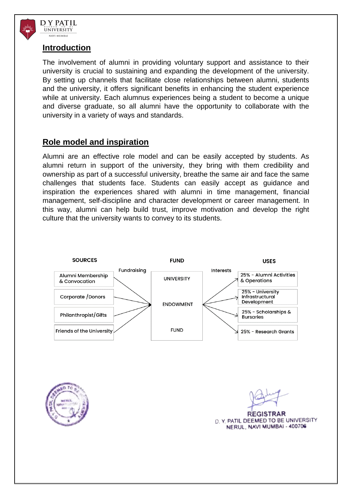

#### **Introduction**

The involvement of alumni in providing voluntary support and assistance to their university is crucial to sustaining and expanding the development of the university. By setting up channels that facilitate close relationships between alumni, students and the university, it offers significant benefits in enhancing the student experience while at university. Each alumnus experiences being a student to become a unique and diverse graduate, so all alumni have the opportunity to collaborate with the university in a variety of ways and standards.

#### **Role model and inspiration**

Alumni are an effective role model and can be easily accepted by students. As alumni return in support of the university, they bring with them credibility and ownership as part of a successful university, breathe the same air and face the same challenges that students face. Students can easily accept as guidance and inspiration the experiences shared with alumni in time management, financial management, self-discipline and character development or career management. In this way, alumni can help build trust, improve motivation and develop the right culture that the university wants to convey to its students.





**REGISTRAR** D. Y. PATIL DEEMED TO BE UNIVERSITY NERUL, NAVI MUMBAI - 400706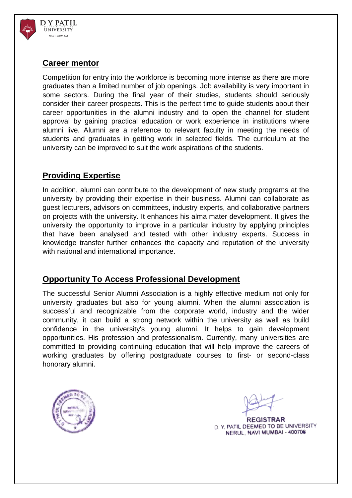

#### **Career mentor**

Competition for entry into the workforce is becoming more intense as there are more graduates than a limited number of job openings. Job availability is very important in some sectors. During the final year of their studies, students should seriously consider their career prospects. This is the perfect time to guide students about their career opportunities in the alumni industry and to open the channel for student approval by gaining practical education or work experience in institutions where alumni live. Alumni are a reference to relevant faculty in meeting the needs of students and graduates in getting work in selected fields. The curriculum at the university can be improved to suit the work aspirations of the students.

#### **Providing Expertise**

In addition, alumni can contribute to the development of new study programs at the university by providing their expertise in their business. Alumni can collaborate as guest lecturers, advisors on committees, industry experts, and collaborative partners on projects with the university. It enhances his alma mater development. It gives the university the opportunity to improve in a particular industry by applying principles that have been analysed and tested with other industry experts. Success in knowledge transfer further enhances the capacity and reputation of the university with national and international importance.

#### **Opportunity To Access Professional Development**

The successful Senior Alumni Association is a highly effective medium not only for university graduates but also for young alumni. When the alumni association is successful and recognizable from the corporate world, industry and the wider community, it can build a strong network within the university as well as build confidence in the university's young alumni. It helps to gain development opportunities. His profession and professionalism. Currently, many universities are committed to providing continuing education that will help improve the careers of working graduates by offering postgraduate courses to first- or second-class honorary alumni.



**REGISTRAR** D. Y. PATIL DEEMED TO BE UNIVERSITY NERUL, NAVI MUMBAI - 400706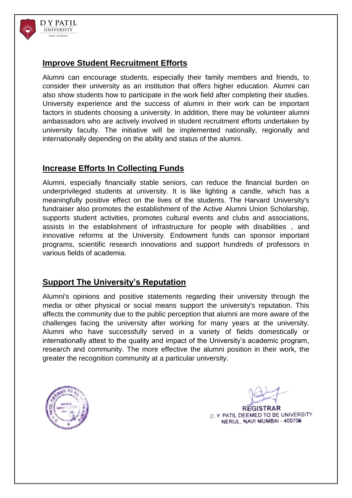

#### **Improve Student Recruitment Efforts**

Alumni can encourage students, especially their family members and friends, to consider their university as an institution that offers higher education. Alumni can also show students how to participate in the work field after completing their studies. University experience and the success of alumni in their work can be important factors in students choosing a university. In addition, there may be volunteer alumni ambassadors who are actively involved in student recruitment efforts undertaken by university faculty. The initiative will be implemented nationally, regionally and internationally depending on the ability and status of the alumni.

#### **Increase Efforts In Collecting Funds**

Alumni, especially financially stable seniors, can reduce the financial burden on underprivileged students at university. It is like lighting a candle, which has a meaningfully positive effect on the lives of the students. The Harvard University's fundraiser also promotes the establishment of the Active Alumni Union Scholarship, supports student activities, promotes cultural events and clubs and associations, assists in the establishment of infrastructure for people with disabilities , and innovative reforms at the University. Endowment funds can sponsor important programs, scientific research innovations and support hundreds of professors in various fields of academia.

#### **Support The University's Reputation**

Alumni's opinions and positive statements regarding their university through the media or other physical or social means support the university's reputation. This affects the community due to the public perception that alumni are more aware of the challenges facing the university after working for many years at the university. Alumni who have successfully served in a variety of fields domestically or internationally attest to the quality and impact of the University's academic program, research and community. The more effective the alumni position in their work, the greater the recognition community at a particular university.



**REGISTRAR** D. Y. PATIL DEEMED TO BE UNIVERSITY NERUL, NAVI MUMBAI - 400706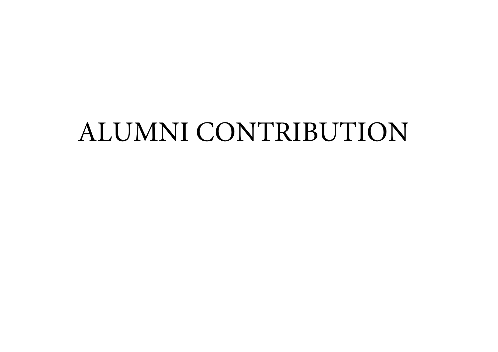# ALUMNI CONTRIBUTION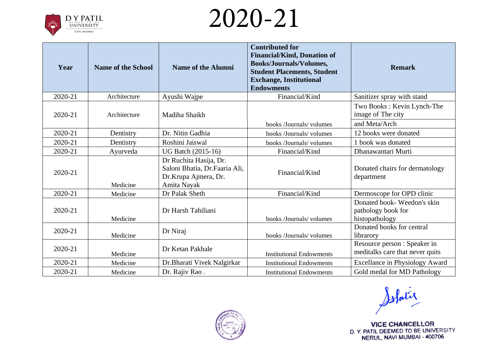

| Year    | <b>Name of the School</b> | <b>Name of the Alumni</b>                                                                      | <b>Contributed for</b><br><b>Financial/Kind, Donation of</b><br><b>Books/Journals/Volumes,</b><br><b>Student Placements, Student</b><br><b>Exchange, Institutional</b><br><b>Endowments</b> | <b>Remark</b>                                                      |
|---------|---------------------------|------------------------------------------------------------------------------------------------|---------------------------------------------------------------------------------------------------------------------------------------------------------------------------------------------|--------------------------------------------------------------------|
| 2020-21 | Architecture              | Ayushi Wajpe                                                                                   | Financial/Kind                                                                                                                                                                              | Sanitizer spray with stand                                         |
| 2020-21 | Architecture              | Madiha Shaikh                                                                                  |                                                                                                                                                                                             | Two Books: Kevin Lynch-The<br>image of The city                    |
|         |                           |                                                                                                | books /Journals/ volumes                                                                                                                                                                    | and Meta/Arch                                                      |
| 2020-21 | Dentistry                 | Dr. Nitin Gadhia                                                                               | books/Journals/volumes                                                                                                                                                                      | 12 books were donated                                              |
| 2020-21 | Dentistry                 | Roshini Jaiswal                                                                                | books /Journals/ volumes                                                                                                                                                                    | 1 book was donated                                                 |
| 2020-21 | Ayurveda                  | <b>UG Batch (2015-16)</b>                                                                      | Financial/Kind                                                                                                                                                                              | Dhanawantari Murti                                                 |
| 2020-21 | Medicine                  | Dr Ruchita Hasija, Dr.<br>Saloni Bhatia, Dr.Faaria Ali,<br>Dr.Krupa Ajmera, Dr.<br>Amita Nayak | Financial/Kind                                                                                                                                                                              | Donated chairs for dermatology<br>department                       |
| 2020-21 | Medicine                  | Dr Palak Sheth                                                                                 | Financial/Kind                                                                                                                                                                              | Dermoscope for OPD clinic                                          |
| 2020-21 | Medicine                  | Dr Harsh Tahiliani                                                                             | books /Journals/ volumes                                                                                                                                                                    | Donated book-Weedon's skin<br>pathology book for<br>histopathology |
| 2020-21 | Medicine                  | Dr Niraj                                                                                       | books /Journals/ volumes                                                                                                                                                                    | Donated books for central<br>librarory                             |
| 2020-21 | Medicine                  | Dr Ketan Pakhale                                                                               | <b>Institutional Endowments</b>                                                                                                                                                             | Resource person : Speaker in<br>meditalks care that never quits    |
| 2020-21 | Medicine                  | Dr. Bharati Vivek Nalgirkar                                                                    | <b>Institutional Endowments</b>                                                                                                                                                             | <b>Excellance in Physiology Award</b>                              |
| 2020-21 | Medicine                  | Dr. Rajiv Rao.                                                                                 | <b>Institutional Endowments</b>                                                                                                                                                             | Gold medal for MD Pathology                                        |



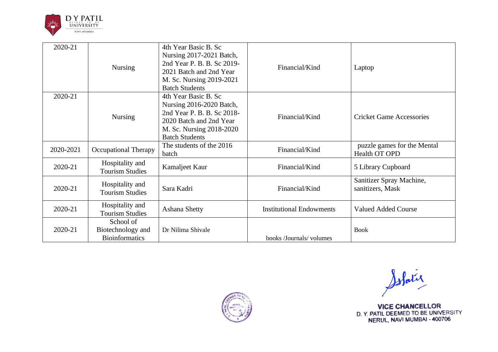

| 2020-21   | <b>Nursing</b>                                          | 4th Year Basic B. Sc<br>Nursing 2017-2021 Batch,<br>2nd Year P. B. B. Sc 2019-<br>2021 Batch and 2nd Year<br>M. Sc. Nursing 2019-2021<br><b>Batch Students</b> | Financial/Kind                  | Laptop                                       |
|-----------|---------------------------------------------------------|----------------------------------------------------------------------------------------------------------------------------------------------------------------|---------------------------------|----------------------------------------------|
| 2020-21   | <b>Nursing</b>                                          | 4th Year Basic B. Sc<br>Nursing 2016-2020 Batch,<br>2nd Year P. B. B. Sc 2018-<br>2020 Batch and 2nd Year<br>M. Sc. Nursing 2018-2020<br><b>Batch Students</b> | Financial/Kind                  | <b>Cricket Game Accessories</b>              |
| 2020-2021 | <b>Occupational Therapy</b>                             | The students of the 2016<br>batch                                                                                                                              | Financial/Kind                  | puzzle games for the Mental<br>Health OT OPD |
| 2020-21   | Hospitality and<br><b>Tourism Studies</b>               | Kamaljeet Kaur                                                                                                                                                 | Financial/Kind                  | 5 Library Cupboard                           |
| 2020-21   | Hospitality and<br><b>Tourism Studies</b>               | Sara Kadri                                                                                                                                                     | Financial/Kind                  | Sanitizer Spray Machine,<br>sanitizers, Mask |
| 2020-21   | Hospitality and<br><b>Tourism Studies</b>               | Ashana Shetty                                                                                                                                                  | <b>Institutional Endowments</b> | <b>Valued Added Course</b>                   |
| 2020-21   | School of<br>Biotechnology and<br><b>Bioinformatics</b> | Dr Nilima Shivale                                                                                                                                              | books /Journals/ volumes        | <b>Book</b>                                  |



Solatie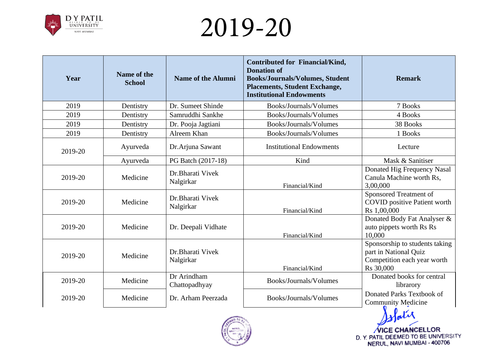

| Year    | Name of the<br><b>School</b> | <b>Name of the Alumni</b>      | <b>Contributed for Financial/Kind,</b><br><b>Donation of</b><br><b>Books/Journals/Volumes, Student</b><br><b>Placements, Student Exchange,</b><br><b>Institutional Endowments</b> | <b>Remark</b>                                                                                       |
|---------|------------------------------|--------------------------------|-----------------------------------------------------------------------------------------------------------------------------------------------------------------------------------|-----------------------------------------------------------------------------------------------------|
| 2019    | Dentistry                    | Dr. Sumeet Shinde              | Books/Journals/Volumes                                                                                                                                                            | 7 Books                                                                                             |
| 2019    | Dentistry                    | Samruddhi Sankhe               | Books/Journals/Volumes                                                                                                                                                            | 4 Books                                                                                             |
| 2019    | Dentistry                    | Dr. Pooja Jagtiani             | Books/Journals/Volumes                                                                                                                                                            | 38 Books                                                                                            |
| 2019    | Dentistry                    | Alreem Khan                    | Books/Journals/Volumes                                                                                                                                                            | 1 Books                                                                                             |
| 2019-20 | Ayurveda                     | Dr.Arjuna Sawant               | <b>Institutional Endowments</b>                                                                                                                                                   | Lecture                                                                                             |
|         | Ayurveda                     | PG Batch (2017-18)             | Kind                                                                                                                                                                              | Mask & Sanitiser                                                                                    |
| 2019-20 | Medicine                     | Dr. Bharati Vivek<br>Nalgirkar | Financial/Kind                                                                                                                                                                    | Donated Hig Frequency Nasal<br>Canula Machine worth Rs,<br>3,00,000                                 |
| 2019-20 | Medicine                     | Dr.Bharati Vivek<br>Nalgirkar  | Financial/Kind                                                                                                                                                                    | Sponsored Treatment of<br><b>COVID</b> positive Patient worth<br>Rs 1,00,000                        |
| 2019-20 | Medicine                     | Dr. Deepali Vidhate            | Financial/Kind                                                                                                                                                                    | Donated Body Fat Analyser &<br>auto pippets worth Rs Rs<br>10,000                                   |
| 2019-20 | Medicine                     | Dr.Bharati Vivek<br>Nalgirkar  | Financial/Kind                                                                                                                                                                    | Sponsorship to students taking<br>part in National Quiz<br>Competition each year worth<br>Rs 30,000 |
| 2019-20 | Medicine                     | Dr Arindham<br>Chattopadhyay   | Books/Journals/Volumes                                                                                                                                                            | Donated books for central<br>librarory                                                              |
| 2019-20 | Medicine                     | Dr. Arham Peerzada             | Books/Journals/Volumes                                                                                                                                                            | Donated Parks Textbook of<br><b>Community Medicine</b>                                              |
|         |                              | 20.70                          |                                                                                                                                                                                   |                                                                                                     |

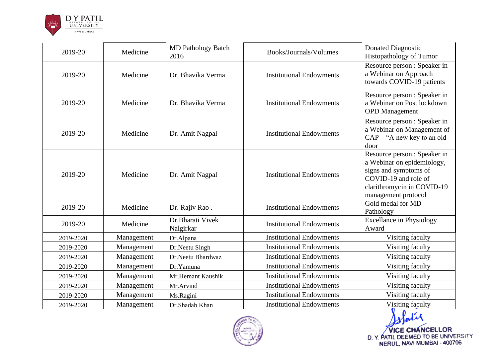

| 2019-20   | Medicine   | <b>MD Pathology Batch</b><br>2016 | Books/Journals/Volumes          | Donated Diagnostic<br>Histopathology of Tumor                                                                                                                    |
|-----------|------------|-----------------------------------|---------------------------------|------------------------------------------------------------------------------------------------------------------------------------------------------------------|
| 2019-20   | Medicine   | Dr. Bhavika Verma                 | <b>Institutional Endowments</b> | Resource person : Speaker in<br>a Webinar on Approach<br>towards COVID-19 patients                                                                               |
| 2019-20   | Medicine   | Dr. Bhavika Verma                 | <b>Institutional Endowments</b> | Resource person : Speaker in<br>a Webinar on Post lockdown<br><b>OPD</b> Management                                                                              |
| 2019-20   | Medicine   | Dr. Amit Nagpal                   | <b>Institutional Endowments</b> | Resource person : Speaker in<br>a Webinar on Management of<br>$CAP - "A new key to an old$<br>door                                                               |
| 2019-20   | Medicine   | Dr. Amit Nagpal                   | <b>Institutional Endowments</b> | Resource person : Speaker in<br>a Webinar on epidemiology,<br>signs and symptoms of<br>COVID-19 and role of<br>clarithromycin in COVID-19<br>management protocol |
| 2019-20   | Medicine   | Dr. Rajiv Rao.                    | <b>Institutional Endowments</b> | Gold medal for MD<br>Pathology                                                                                                                                   |
| 2019-20   | Medicine   | Dr.Bharati Vivek<br>Nalgirkar     | <b>Institutional Endowments</b> | <b>Excellance in Physiology</b><br>Award                                                                                                                         |
| 2019-2020 | Management | Dr.Alpana                         | <b>Institutional Endowments</b> | Visiting faculty                                                                                                                                                 |
| 2019-2020 | Management | Dr.Neetu Singh                    | <b>Institutional Endowments</b> | Visiting faculty                                                                                                                                                 |
| 2019-2020 | Management | Dr.Neetu Bhardwaz                 | <b>Institutional Endowments</b> | Visiting faculty                                                                                                                                                 |
| 2019-2020 | Management | Dr.Yamuna                         | <b>Institutional Endowments</b> | Visiting faculty                                                                                                                                                 |
| 2019-2020 | Management | Mr.Hemant Kaushik                 | <b>Institutional Endowments</b> | Visiting faculty                                                                                                                                                 |
| 2019-2020 | Management | Mr.Arvind                         | <b>Institutional Endowments</b> | Visiting faculty                                                                                                                                                 |
| 2019-2020 | Management | Ms.Ragini                         | <b>Institutional Endowments</b> | Visiting faculty                                                                                                                                                 |
| 2019-2020 | Management | Dr.Shadab Khan                    | <b>Institutional Endowments</b> | Visiting faculty                                                                                                                                                 |

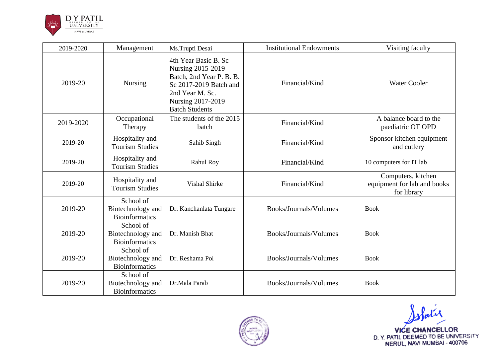

| 2019-2020 | Management                                              | Ms.Trupti Desai                                                                                                                                                  | <b>Institutional Endowments</b> | Visiting faculty                                                 |
|-----------|---------------------------------------------------------|------------------------------------------------------------------------------------------------------------------------------------------------------------------|---------------------------------|------------------------------------------------------------------|
| 2019-20   | Nursing                                                 | 4th Year Basic B. Sc<br>Nursing 2015-2019<br>Batch, 2nd Year P. B. B.<br>Sc 2017-2019 Batch and<br>2nd Year M. Sc.<br>Nursing 2017-2019<br><b>Batch Students</b> | Financial/Kind                  | <b>Water Cooler</b>                                              |
| 2019-2020 | Occupational<br>Therapy                                 | The students of the 2015<br>batch                                                                                                                                | Financial/Kind                  | A balance board to the<br>paediatric OT OPD                      |
| 2019-20   | Hospitality and<br><b>Tourism Studies</b>               | Sahib Singh                                                                                                                                                      | Financial/Kind                  | Sponsor kitchen equipment<br>and cutlery                         |
| 2019-20   | Hospitality and<br><b>Tourism Studies</b>               | <b>Rahul Roy</b>                                                                                                                                                 | Financial/Kind                  | 10 computers for IT lab                                          |
| 2019-20   | Hospitality and<br><b>Tourism Studies</b>               | <b>Vishal Shirke</b>                                                                                                                                             | Financial/Kind                  | Computers, kitchen<br>equipment for lab and books<br>for library |
| 2019-20   | School of<br>Biotechnology and<br><b>Bioinformatics</b> | Dr. Kanchanlata Tungare                                                                                                                                          | Books/Journals/Volumes          | <b>Book</b>                                                      |
| 2019-20   | School of<br>Biotechnology and<br><b>Bioinformatics</b> | Dr. Manish Bhat                                                                                                                                                  | Books/Journals/Volumes          | <b>Book</b>                                                      |
| 2019-20   | School of<br>Biotechnology and<br><b>Bioinformatics</b> | Dr. Reshama Pol                                                                                                                                                  | Books/Journals/Volumes          | <b>Book</b>                                                      |
| 2019-20   | School of<br>Biotechnology and<br><b>Bioinformatics</b> | Dr.Mala Parab                                                                                                                                                    | Books/Journals/Volumes          | <b>Book</b>                                                      |



Water VICE CHANCELLOR<br>D. Y. PATIL DEEMED TO BE UNIVERSITY<br>NERUL, NAVI MUMBAI - 400706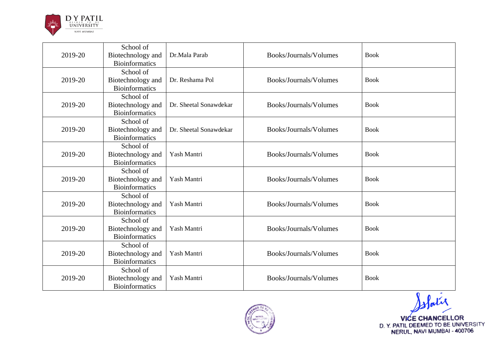

| 2019-20 | School of<br>Biotechnology and<br><b>Bioinformatics</b> | Dr.Mala Parab          | Books/Journals/Volumes | <b>Book</b> |
|---------|---------------------------------------------------------|------------------------|------------------------|-------------|
| 2019-20 | School of<br>Biotechnology and<br><b>Bioinformatics</b> | Dr. Reshama Pol        | Books/Journals/Volumes | <b>Book</b> |
| 2019-20 | School of<br>Biotechnology and<br><b>Bioinformatics</b> | Dr. Sheetal Sonawdekar | Books/Journals/Volumes | <b>Book</b> |
| 2019-20 | School of<br>Biotechnology and<br><b>Bioinformatics</b> | Dr. Sheetal Sonawdekar | Books/Journals/Volumes | <b>Book</b> |
| 2019-20 | School of<br>Biotechnology and<br><b>Bioinformatics</b> | Yash Mantri            | Books/Journals/Volumes | <b>Book</b> |
| 2019-20 | School of<br>Biotechnology and<br><b>Bioinformatics</b> | Yash Mantri            | Books/Journals/Volumes | <b>Book</b> |
| 2019-20 | School of<br>Biotechnology and<br><b>Bioinformatics</b> | Yash Mantri            | Books/Journals/Volumes | <b>Book</b> |
| 2019-20 | School of<br>Biotechnology and<br><b>Bioinformatics</b> | Yash Mantri            | Books/Journals/Volumes | <b>Book</b> |
| 2019-20 | School of<br>Biotechnology and<br><b>Bioinformatics</b> | Yash Mantri            | Books/Journals/Volumes | <b>Book</b> |
| 2019-20 | School of<br>Biotechnology and<br><b>Bioinformatics</b> | Yash Mantri            | Books/Journals/Volumes | <b>Book</b> |



slatie VICE CHANCELLOR<br>D. Y. PATIL DEEMED TO BE UNIVERSITY<br>NERUL, NAVI MUMBAI - 400706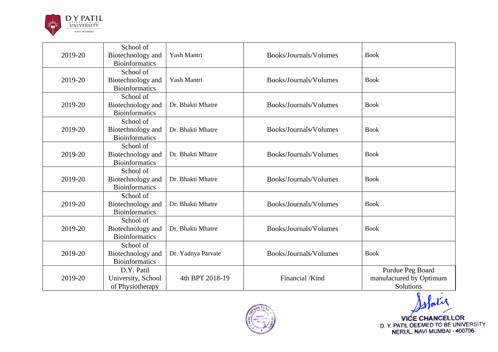

| 2019-20 | School of<br>Biotechnology and<br><b>Bioinformatics</b> | Yash Mantri        | Books/Journals/Volumes | <b>Book</b>                                                     |
|---------|---------------------------------------------------------|--------------------|------------------------|-----------------------------------------------------------------|
| 2019-20 | School of<br>Biotechnology and<br><b>Bioinformatics</b> | Yash Mantri        | Books/Journals/Volumes | <b>Book</b>                                                     |
| 2019-20 | School of<br>Biotechnology and<br><b>Bioinformatics</b> | Dr. Bhakti Mhatre  | Books/Journals/Volumes | <b>Book</b>                                                     |
| 2019-20 | School of<br>Biotechnology and<br><b>Bioinformatics</b> | Dr. Bhakti Mhatre  | Books/Journals/Volumes | <b>Book</b>                                                     |
| 2019-20 | School of<br>Biotechnology and<br><b>Bioinformatics</b> | Dr. Bhakti Mhatre  | Books/Journals/Volumes | <b>Book</b>                                                     |
| 2019-20 | School of<br>Biotechnology and<br><b>Bioinformatics</b> | Dr. Bhakti Mhatre  | Books/Journals/Volumes | <b>Book</b>                                                     |
| 2019-20 | School of<br>Biotechnology and<br><b>Bioinformatics</b> | Dr. Bhakti Mhatre  | Books/Journals/Volumes | <b>Book</b>                                                     |
| 2019-20 | School of<br>Biotechnology and<br><b>Bioinformatics</b> | Dr. Bhakti Mhatre  | Books/Journals/Volumes | <b>Book</b>                                                     |
| 2019-20 | School of<br>Biotechnology and<br><b>Bioinformatics</b> | Dr. Yadnya Parvate | Books/Journals/Volumes | <b>Book</b>                                                     |
| 2019-20 | D.Y. Patil<br>University, School<br>of Physiotherapy    | 4th BPT 2018-19    | Financial /Kind        | Purdue Peg Board<br>manufactured by Optimum<br><b>Solutions</b> |



VICE CHANCELLOR<br>D. Y. PATIL DEEMED TO BE UNIVERSITY<br>NERUL, NAVI MUMBAI - 400706

Patil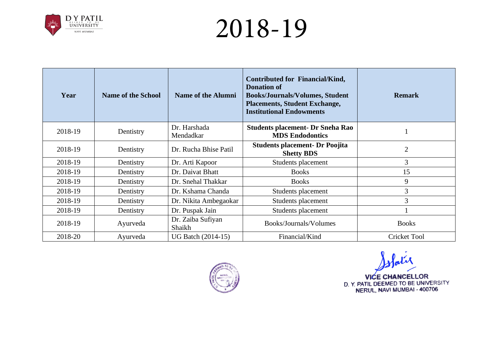

| Year    | <b>Name of the School</b> | <b>Name of the Alumni</b>   | Contributed for Financial/Kind,<br><b>Donation of</b><br><b>Books/Journals/Volumes, Student</b><br><b>Placements, Student Exchange,</b><br><b>Institutional Endowments</b> | <b>Remark</b>       |
|---------|---------------------------|-----------------------------|----------------------------------------------------------------------------------------------------------------------------------------------------------------------------|---------------------|
| 2018-19 | Dentistry                 | Dr. Harshada<br>Mendadkar   | <b>Students placement- Dr Sneha Rao</b><br><b>MDS Endodontics</b>                                                                                                          |                     |
| 2018-19 | Dentistry                 | Dr. Rucha Bhise Patil       | <b>Students placement- Dr Poojita</b><br><b>Shetty BDS</b>                                                                                                                 | $\overline{2}$      |
| 2018-19 | Dentistry                 | Dr. Arti Kapoor             | Students placement                                                                                                                                                         | $\overline{3}$      |
| 2018-19 | Dentistry                 | Dr. Daivat Bhatt            | <b>Books</b>                                                                                                                                                               | 15                  |
| 2018-19 | Dentistry                 | Dr. Snehal Thakkar          | <b>Books</b>                                                                                                                                                               | 9                   |
| 2018-19 | Dentistry                 | Dr. Kshama Chanda           | Students placement                                                                                                                                                         | $\overline{3}$      |
| 2018-19 | Dentistry                 | Dr. Nikita Ambegaokar       | Students placement                                                                                                                                                         | 3                   |
| 2018-19 | Dentistry                 | Dr. Puspak Jain             | Students placement                                                                                                                                                         |                     |
| 2018-19 | Ayurveda                  | Dr. Zaiba Sufiyan<br>Shaikh | Books/Journals/Volumes                                                                                                                                                     | <b>Books</b>        |
| 2018-20 | Ayurveda                  | <b>UG Batch (2014-15)</b>   | Financial/Kind                                                                                                                                                             | <b>Cricket Tool</b> |



slatie

**VICE CHANCELLOR** D. Y. PATIL DEEMED TO BE UNIVERSITY<br>NERUL, NAVI MUMBAI - 400706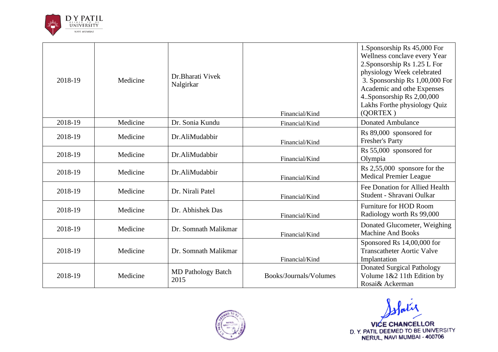

| 2018-19 | Medicine | Dr. Bharati Vivek<br>Nalgirkar    | Financial/Kind         | 1. Sponsorship Rs 45,000 For<br>Wellness conclave every Year<br>2. Sponsorship Rs 1.25 L For<br>physiology Week celebrated<br>3. Sponsorship Rs 1,00,000 For<br>Academic and othe Expenses<br>4. Sponsorship Rs 2,00,000<br>Lakhs Forthe physiology Quiz<br>(QORTEX) |
|---------|----------|-----------------------------------|------------------------|----------------------------------------------------------------------------------------------------------------------------------------------------------------------------------------------------------------------------------------------------------------------|
| 2018-19 | Medicine | Dr. Sonia Kundu                   | Financial/Kind         | <b>Donated Ambulance</b>                                                                                                                                                                                                                                             |
| 2018-19 | Medicine | Dr.AliMudabbir                    | Financial/Kind         | Rs 89,000 sponsored for<br>Fresher's Party                                                                                                                                                                                                                           |
| 2018-19 | Medicine | Dr.AliMudabbir                    | Financial/Kind         | Rs 55,000 sponsored for<br>Olympia                                                                                                                                                                                                                                   |
| 2018-19 | Medicine | Dr.AliMudabbir                    | Financial/Kind         | Rs 2,55,000 sponsore for the<br>Medical Premier League                                                                                                                                                                                                               |
| 2018-19 | Medicine | Dr. Nirali Patel                  | Financial/Kind         | Fee Donation for Allied Health<br>Student - Shravani Oulkar                                                                                                                                                                                                          |
| 2018-19 | Medicine | Dr. Abhishek Das                  | Financial/Kind         | Furniture for HOD Room<br>Radiology worth Rs 99,000                                                                                                                                                                                                                  |
| 2018-19 | Medicine | Dr. Somnath Malikmar              | Financial/Kind         | Donated Glucometer, Weighing<br><b>Machine And Books</b>                                                                                                                                                                                                             |
| 2018-19 | Medicine | Dr. Somnath Malikmar              | Financial/Kind         | Sponsored Rs 14,00,000 for<br><b>Transcatheter Aortic Valve</b><br>Implantation                                                                                                                                                                                      |
| 2018-19 | Medicine | <b>MD</b> Pathology Batch<br>2015 | Books/Journals/Volumes | <b>Donated Surgical Pathology</b><br>Volume 1&2 11th Edition by<br>Rosai& Ackerman                                                                                                                                                                                   |



slatie VICE CHANCELLOR<br>D.Y. PATIL DEEMED TO BE UNIVERSITY<br>NERUL, NAVI MUMBAI - 400706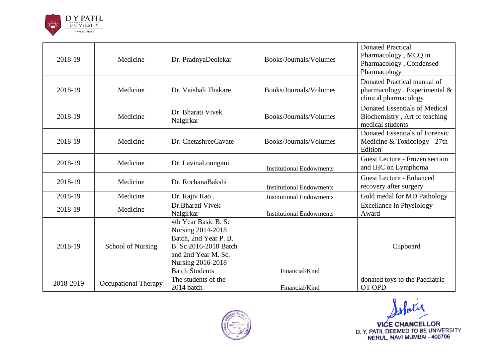

| 2018-19   | Medicine                    | Dr. PradnyaDeolekar                                                                                                                                              | Books/Journals/Volumes          | <b>Donated Practical</b><br>Pharmacology, MCQ in<br>Pharmacology, Condensed<br>Pharmacology |
|-----------|-----------------------------|------------------------------------------------------------------------------------------------------------------------------------------------------------------|---------------------------------|---------------------------------------------------------------------------------------------|
| 2018-19   | Medicine                    | Dr. Vaishali Thakare                                                                                                                                             | Books/Journals/Volumes          | Donated Practical manual of<br>pharmacology, Experimental $\&$<br>clinical pharmacology     |
| 2018-19   | Medicine                    | Dr. Bharati Vivek<br>Nalgirkar                                                                                                                                   | Books/Journals/Volumes          | <b>Donated Essentials of Medical</b><br>Biochemistry, Art of teaching<br>medical students   |
| 2018-19   | Medicine                    | Dr. ChetashreeGavate                                                                                                                                             | Books/Journals/Volumes          | Donated Essentials of Forensic<br>Medicine & Toxicology - 27th<br>Edition                   |
| 2018-19   | Medicine                    | Dr. LavinaLoungani                                                                                                                                               | <b>Institutional Endowments</b> | Guest Lecture - Frozen section<br>and IHC on Lymphoma                                       |
| 2018-19   | Medicine                    | Dr. RochanaBakshi                                                                                                                                                | <b>Institutional Endowments</b> | <b>Guest Lecture - Enhanced</b><br>recovery after surgery                                   |
| 2018-19   | Medicine                    | Dr. Rajiv Rao.                                                                                                                                                   | <b>Institutional Endowments</b> | Gold medal for MD Pathology                                                                 |
| 2018-19   | Medicine                    | Dr. Bharati Vivek<br>Nalgirkar                                                                                                                                   | <b>Institutional Endowments</b> | <b>Excellance in Physiology</b><br>Award                                                    |
| 2018-19   | School of Nursing           | 4th Year Basic B. Sc<br>Nursing 2014-2018<br>Batch, 2nd Year P. B.<br>B. Sc 2016-2018 Batch<br>and 2nd Year M. Sc.<br>Nursing 2016-2018<br><b>Batch Students</b> | Financial/Kind                  | Cupboard                                                                                    |
| 2018-2019 | <b>Occupational Therapy</b> | The students of the<br>2014 batch                                                                                                                                | Financial/Kind                  | donated toys to the Paediatric<br><b>OT OPD</b>                                             |



slatir VICE CHANCELLOR<br>D. Y. PATIL DEEMED TO BE UNIVERSITY<br>NERUL, NAVI MUMBAI - 400706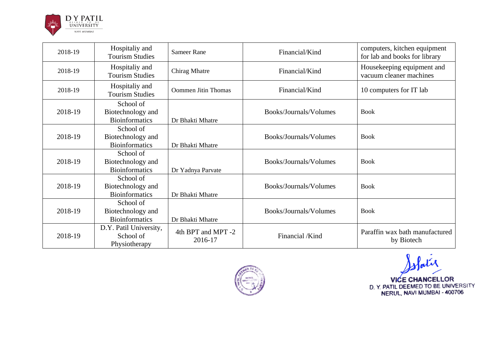

| 2018-19 | Hospitaliy and<br><b>Tourism Studies</b>                | <b>Sameer Rane</b>            | Financial/Kind         | computers, kitchen equipment<br>for lab and books for library |
|---------|---------------------------------------------------------|-------------------------------|------------------------|---------------------------------------------------------------|
| 2018-19 | Hospitaliy and<br><b>Tourism Studies</b>                | Chirag Mhatre                 | Financial/Kind         | Housekeeping equipment and<br>vacuum cleaner machines         |
| 2018-19 | Hospitaliy and<br><b>Tourism Studies</b>                | <b>Oommen Jitin Thomas</b>    | Financial/Kind         | 10 computers for IT lab                                       |
| 2018-19 | School of<br>Biotechnology and<br><b>Bioinformatics</b> | Dr Bhakti Mhatre              | Books/Journals/Volumes | <b>Book</b>                                                   |
| 2018-19 | School of<br>Biotechnology and<br><b>Bioinformatics</b> | Dr Bhakti Mhatre              | Books/Journals/Volumes | <b>Book</b>                                                   |
| 2018-19 | School of<br>Biotechnology and<br><b>Bioinformatics</b> | Dr Yadnya Parvate             | Books/Journals/Volumes | <b>Book</b>                                                   |
| 2018-19 | School of<br>Biotechnology and<br><b>Bioinformatics</b> | Dr Bhakti Mhatre              | Books/Journals/Volumes | <b>Book</b>                                                   |
| 2018-19 | School of<br>Biotechnology and<br><b>Bioinformatics</b> | Dr Bhakti Mhatre              | Books/Journals/Volumes | <b>Book</b>                                                   |
| 2018-19 | D.Y. Patil University,<br>School of<br>Physiotherapy    | 4th BPT and MPT -2<br>2016-17 | Financial /Kind        | Paraffin wax bath manufactured<br>by Biotech                  |



ofatie

VICE CHANCELLOR<br>D. Y. PATIL DEEMED TO BE UNIVERSITY<br>NERUL, NAVI MUMBAI - 400706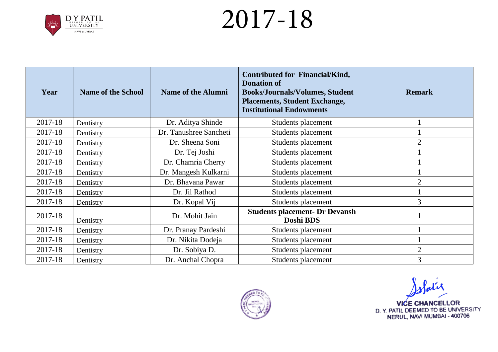

| Year    | <b>Name of the School</b> | <b>Name of the Alumni</b> | <b>Contributed for Financial/Kind,</b><br><b>Donation of</b><br><b>Books/Journals/Volumes, Student</b><br><b>Placements, Student Exchange,</b><br><b>Institutional Endowments</b> | <b>Remark</b>  |
|---------|---------------------------|---------------------------|-----------------------------------------------------------------------------------------------------------------------------------------------------------------------------------|----------------|
| 2017-18 | Dentistry                 | Dr. Aditya Shinde         | Students placement                                                                                                                                                                |                |
| 2017-18 | Dentistry                 | Dr. Tanushree Sancheti    | Students placement                                                                                                                                                                |                |
| 2017-18 | Dentistry                 | Dr. Sheena Soni           | Students placement                                                                                                                                                                | $\overline{2}$ |
| 2017-18 | Dentistry                 | Dr. Tej Joshi             | Students placement                                                                                                                                                                |                |
| 2017-18 | Dentistry                 | Dr. Chamria Cherry        | Students placement                                                                                                                                                                |                |
| 2017-18 | Dentistry                 | Dr. Mangesh Kulkarni      | Students placement                                                                                                                                                                |                |
| 2017-18 | Dentistry                 | Dr. Bhavana Pawar         | Students placement                                                                                                                                                                | $\overline{2}$ |
| 2017-18 | Dentistry                 | Dr. Jil Rathod            | Students placement                                                                                                                                                                |                |
| 2017-18 | Dentistry                 | Dr. Kopal Vij             | Students placement                                                                                                                                                                | 3              |
| 2017-18 | Dentistry                 | Dr. Mohit Jain            | <b>Students placement- Dr Devansh</b><br>Doshi BDS                                                                                                                                |                |
| 2017-18 | Dentistry                 | Dr. Pranay Pardeshi       | Students placement                                                                                                                                                                |                |
| 2017-18 | Dentistry                 | Dr. Nikita Dodeja         | Students placement                                                                                                                                                                |                |
| 2017-18 | Dentistry                 | Dr. Sobiya D.             | Students placement                                                                                                                                                                | $\overline{2}$ |
| 2017-18 | Dentistry                 | Dr. Anchal Chopra         | Students placement                                                                                                                                                                | 3              |



Solatie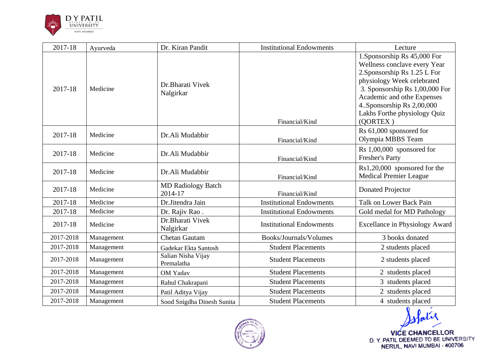

| 2017-18   | Ayurveda   | Dr. Kiran Pandit                     | <b>Institutional Endowments</b> | Lecture                                                                                                                                                                                                                                                              |
|-----------|------------|--------------------------------------|---------------------------------|----------------------------------------------------------------------------------------------------------------------------------------------------------------------------------------------------------------------------------------------------------------------|
| 2017-18   | Medicine   | Dr.Bharati Vivek<br>Nalgirkar        | Financial/Kind                  | 1. Sponsorship Rs 45,000 For<br>Wellness conclave every Year<br>2. Sponsorship Rs 1.25 L For<br>physiology Week celebrated<br>3. Sponsorship Rs 1,00,000 For<br>Academic and othe Expenses<br>4. Sponsorship Rs 2,00,000<br>Lakhs Forthe physiology Quiz<br>(QORTEX) |
| 2017-18   | Medicine   | Dr.Ali Mudabbir                      | Financial/Kind                  | Rs 61,000 sponsored for<br>Olympia MBBS Team                                                                                                                                                                                                                         |
| 2017-18   | Medicine   | Dr.Ali Mudabbir                      | Financial/Kind                  | $Rs 1,00,000$ sponsored for<br><b>Fresher's Party</b>                                                                                                                                                                                                                |
| 2017-18   | Medicine   | Dr.Ali Mudabbir                      | Financial/Kind                  | Rs1,20,000 sponsored for the<br><b>Medical Premier League</b>                                                                                                                                                                                                        |
| 2017-18   | Medicine   | <b>MD Radiology Batch</b><br>2014-17 | Financial/Kind                  | <b>Donated Projector</b>                                                                                                                                                                                                                                             |
| 2017-18   | Medicine   | Dr.Jitendra Jain                     | <b>Institutional Endowments</b> | Talk on Lower Back Pain                                                                                                                                                                                                                                              |
| 2017-18   | Medicine   | Dr. Rajiv Rao.                       | <b>Institutional Endowments</b> | Gold medal for MD Pathology                                                                                                                                                                                                                                          |
| 2017-18   | Medicine   | Dr.Bharati Vivek<br>Nalgirkar        | <b>Institutional Endowments</b> | <b>Excellance in Physiology Award</b>                                                                                                                                                                                                                                |
| 2017-2018 | Management | <b>Chetan Gautam</b>                 | Books/Journals/Volumes          | 3 books donated                                                                                                                                                                                                                                                      |
| 2017-2018 | Management | Gadekar Ekta Santosh                 | <b>Student Placements</b>       | 2 students placed                                                                                                                                                                                                                                                    |
| 2017-2018 | Management | Salian Nisha Vijay<br>Premalatha     | <b>Student Placements</b>       | 2 students placed                                                                                                                                                                                                                                                    |
| 2017-2018 | Management | <b>OM Yadav</b>                      | <b>Student Placements</b>       | 2 students placed                                                                                                                                                                                                                                                    |
| 2017-2018 | Management | Rahul Chakrapani                     | <b>Student Placements</b>       | 3 students placed                                                                                                                                                                                                                                                    |
| 2017-2018 | Management | Patil Aditya Vijay                   | <b>Student Placements</b>       | 2 students placed                                                                                                                                                                                                                                                    |
| 2017-2018 | Management | Sood Snigdha Dinesh Sunita           | <b>Student Placements</b>       | 4 students placed                                                                                                                                                                                                                                                    |

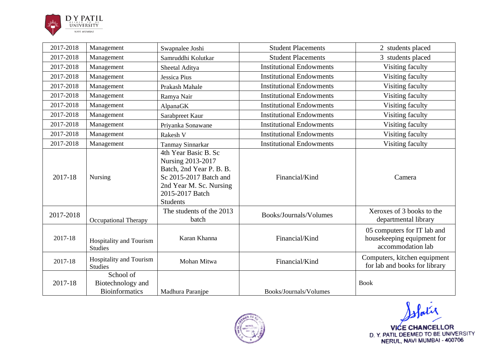

| 2017-2018 | Management                                              | Swapnalee Joshi                                                                                                                                                  | <b>Student Placements</b>       | 2 students placed                                                              |
|-----------|---------------------------------------------------------|------------------------------------------------------------------------------------------------------------------------------------------------------------------|---------------------------------|--------------------------------------------------------------------------------|
| 2017-2018 | Management                                              | Samruddhi Kolutkar                                                                                                                                               | <b>Student Placements</b>       | 3 students placed                                                              |
| 2017-2018 | Management                                              | Sheetal Aditya                                                                                                                                                   | <b>Institutional Endowments</b> | Visiting faculty                                                               |
| 2017-2018 | Management                                              | <b>Jessica Pius</b>                                                                                                                                              | <b>Institutional Endowments</b> | Visiting faculty                                                               |
| 2017-2018 | Management                                              | Prakash Mahale                                                                                                                                                   | <b>Institutional Endowments</b> | Visiting faculty                                                               |
| 2017-2018 | Management                                              | Ramya Nair                                                                                                                                                       | <b>Institutional Endowments</b> | Visiting faculty                                                               |
| 2017-2018 | Management                                              | AlpanaGK                                                                                                                                                         | <b>Institutional Endowments</b> | Visiting faculty                                                               |
| 2017-2018 | Management                                              | Sarabpreet Kaur                                                                                                                                                  | <b>Institutional Endowments</b> | Visiting faculty                                                               |
| 2017-2018 | Management                                              | Priyanka Sonawane                                                                                                                                                | <b>Institutional Endowments</b> | Visiting faculty                                                               |
| 2017-2018 | Management                                              | Rakesh V                                                                                                                                                         | <b>Institutional Endowments</b> | Visiting faculty                                                               |
| 2017-2018 | Management                                              | Tanmay Sinnarkar                                                                                                                                                 | <b>Institutional Endowments</b> | Visiting faculty                                                               |
| 2017-18   | Nursing                                                 | 4th Year Basic B. Sc<br>Nursing 2013-2017<br>Batch, 2nd Year P. B. B.<br>Sc 2015-2017 Batch and<br>2nd Year M. Sc. Nursing<br>2015-2017 Batch<br><b>Students</b> | Financial/Kind                  | Camera                                                                         |
| 2017-2018 | <b>Occupational Therapy</b>                             | The students of the 2013<br>batch                                                                                                                                | Books/Journals/Volumes          | Xeroxes of 3 books to the<br>departmental library                              |
| 2017-18   | Hospitality and Tourism<br><b>Studies</b>               | Karan Khanna                                                                                                                                                     | Financial/Kind                  | 05 computers for IT lab and<br>housekeeping equipment for<br>accommodation lab |
| 2017-18   | Hospitality and Tourism<br><b>Studies</b>               | Mohan Mitwa                                                                                                                                                      | Financial/Kind                  | Computers, kitchen equipment<br>for lab and books for library                  |
| 2017-18   | School of<br>Biotechnology and<br><b>Bioinformatics</b> | Madhura Paranjpe                                                                                                                                                 | Books/Journals/Volumes          | <b>Book</b>                                                                    |



Pati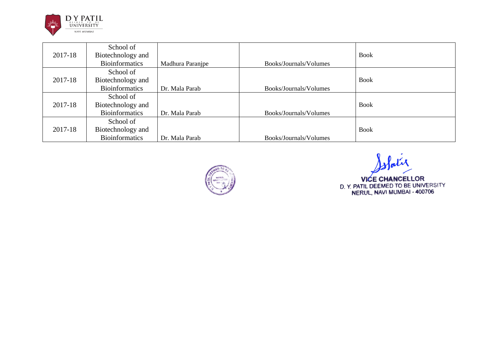

|         | School of             |                  |                        |             |
|---------|-----------------------|------------------|------------------------|-------------|
| 2017-18 | Biotechnology and     |                  |                        | <b>Book</b> |
|         | <b>Bioinformatics</b> | Madhura Paranjpe | Books/Journals/Volumes |             |
|         | School of             |                  |                        |             |
| 2017-18 | Biotechnology and     |                  |                        | <b>Book</b> |
|         | <b>Bioinformatics</b> | Dr. Mala Parab   | Books/Journals/Volumes |             |
|         | School of             |                  |                        |             |
| 2017-18 | Biotechnology and     |                  |                        | <b>Book</b> |
|         | <b>Bioinformatics</b> | Dr. Mala Parab   | Books/Journals/Volumes |             |
|         | School of             |                  |                        |             |
| 2017-18 | Biotechnology and     |                  |                        | <b>Book</b> |
|         | <b>Bioinformatics</b> | Dr. Mala Parab   | Books/Journals/Volumes |             |



olatie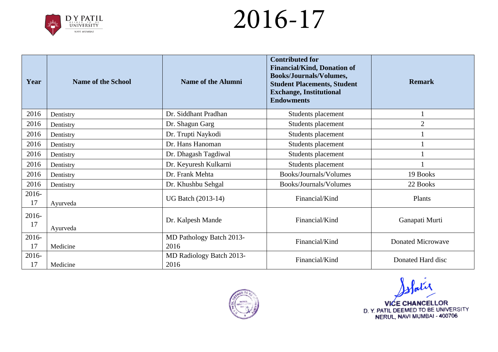

| Year        | <b>Name of the School</b> | Name of the Alumni               | <b>Contributed for</b><br><b>Financial/Kind, Donation of</b><br><b>Books/Journals/Volumes,</b><br><b>Student Placements, Student</b><br><b>Exchange, Institutional</b><br><b>Endowments</b> | <b>Remark</b>            |
|-------------|---------------------------|----------------------------------|---------------------------------------------------------------------------------------------------------------------------------------------------------------------------------------------|--------------------------|
| 2016        | Dentistry                 | Dr. Siddhant Pradhan             | Students placement                                                                                                                                                                          |                          |
| 2016        | Dentistry                 | Dr. Shagun Garg                  | Students placement                                                                                                                                                                          | $\overline{2}$           |
| 2016        | Dentistry                 | Dr. Trupti Naykodi               | Students placement                                                                                                                                                                          |                          |
| 2016        | Dentistry                 | Dr. Hans Hanoman                 | Students placement                                                                                                                                                                          |                          |
| 2016        | Dentistry                 | Dr. Dhagash Tagdiwal             | Students placement                                                                                                                                                                          |                          |
| 2016        | Dentistry                 | Dr. Keyuresh Kulkarni            | Students placement                                                                                                                                                                          |                          |
| 2016        | Dentistry                 | Dr. Frank Mehta                  | Books/Journals/Volumes                                                                                                                                                                      | 19 Books                 |
| 2016        | Dentistry                 | Dr. Khushbu Sehgal               | Books/Journals/Volumes                                                                                                                                                                      | 22 Books                 |
| 2016-<br>17 | Ayurveda                  | <b>UG Batch (2013-14)</b>        | Financial/Kind                                                                                                                                                                              | Plants                   |
| 2016-<br>17 | Ayurveda                  | Dr. Kalpesh Mande                | Financial/Kind                                                                                                                                                                              | Ganapati Murti           |
| 2016-<br>17 | Medicine                  | MD Pathology Batch 2013-<br>2016 | Financial/Kind                                                                                                                                                                              | <b>Donated Microwave</b> |
| 2016-<br>17 | Medicine                  | MD Radiology Batch 2013-<br>2016 | Financial/Kind                                                                                                                                                                              | Donated Hard disc        |



slatie **VICE CHANCELLOR** D. Y. PATIL DEEMED TO BE UNIVERSITY<br>NERUL, NAVI MUMBAI - 400706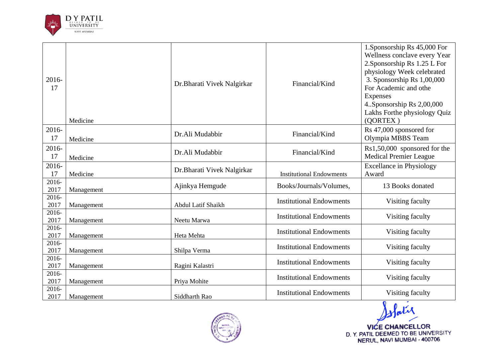

| 2016-<br>17   | Medicine   | Dr. Bharati Vivek Nalgirkar | Financial/Kind                  | 1. Sponsorship Rs 45,000 For<br>Wellness conclave every Year<br>2. Sponsorship Rs 1.25 L For<br>physiology Week celebrated<br>3. Sponsorship Rs 1,00,000<br>For Academic and othe<br><b>Expenses</b><br>4. Sponsorship Rs 2,00,000<br>Lakhs Forthe physiology Quiz<br>(QORTEX) |
|---------------|------------|-----------------------------|---------------------------------|--------------------------------------------------------------------------------------------------------------------------------------------------------------------------------------------------------------------------------------------------------------------------------|
| 2016-<br>17   | Medicine   | Dr.Ali Mudabbir             | Financial/Kind                  | Rs 47,000 sponsored for<br>Olympia MBBS Team                                                                                                                                                                                                                                   |
| 2016-<br>17   | Medicine   | Dr.Ali Mudabbir             | Financial/Kind                  | Rs1,50,000 sponsored for the<br><b>Medical Premier League</b>                                                                                                                                                                                                                  |
| 2016-<br>17   | Medicine   | Dr. Bharati Vivek Nalgirkar | <b>Institutional Endowments</b> | <b>Excellance in Physiology</b><br>Award                                                                                                                                                                                                                                       |
| 2016-<br>2017 | Management | Ajinkya Hemgude             | Books/Journals/Volumes,         | 13 Books donated                                                                                                                                                                                                                                                               |
| 2016-<br>2017 | Management | Abdul Latif Shaikh          | <b>Institutional Endowments</b> | Visiting faculty                                                                                                                                                                                                                                                               |
| 2016-<br>2017 | Management | Neetu Marwa                 | <b>Institutional Endowments</b> | Visiting faculty                                                                                                                                                                                                                                                               |
| 2016-<br>2017 | Management | Heta Mehta                  | <b>Institutional Endowments</b> | Visiting faculty                                                                                                                                                                                                                                                               |
| 2016-<br>2017 | Management | Shilpa Verma                | <b>Institutional Endowments</b> | Visiting faculty                                                                                                                                                                                                                                                               |
| 2016-<br>2017 | Management | Ragini Kalastri             | <b>Institutional Endowments</b> | Visiting faculty                                                                                                                                                                                                                                                               |
| 2016-<br>2017 | Management | Priya Mohite                | <b>Institutional Endowments</b> | Visiting faculty                                                                                                                                                                                                                                                               |
| 2016-<br>2017 | Management | Siddharth Rao               | <b>Institutional Endowments</b> | Visiting faculty                                                                                                                                                                                                                                                               |



Slatir VICE CHANCELLOR<br>D. Y. PATIL DEEMED TO BE UNIVERSITY<br>NERUL, NAVI MUMBAI - 400706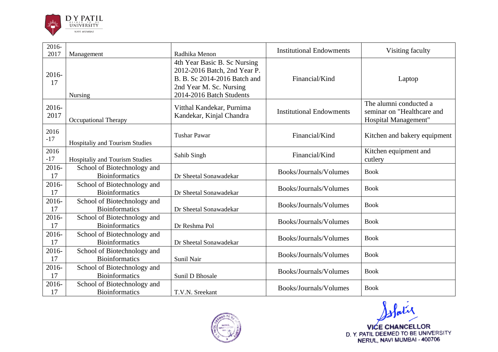

| 2016-<br>2017 | Management                                           | Radhika Menon                                                                                                                                       | <b>Institutional Endowments</b> | Visiting faculty                                                             |
|---------------|------------------------------------------------------|-----------------------------------------------------------------------------------------------------------------------------------------------------|---------------------------------|------------------------------------------------------------------------------|
| 2016-<br>17   | <b>Nursing</b>                                       | 4th Year Basic B. Sc Nursing<br>2012-2016 Batch, 2nd Year P.<br>B. B. Sc 2014-2016 Batch and<br>2nd Year M. Sc. Nursing<br>2014-2016 Batch Students | Financial/Kind                  | Laptop                                                                       |
| 2016-<br>2017 | Occupational Therapy                                 | Vitthal Kandekar, Purnima<br>Kandekar, Kinjal Chandra                                                                                               | <b>Institutional Endowments</b> | The alumni conducted a<br>seminar on "Healthcare and<br>Hospital Management" |
| 2016<br>$-17$ | Hospitaliy and Tourism Studies                       | <b>Tushar Pawar</b>                                                                                                                                 | Financial/Kind                  | Kitchen and bakery equipment                                                 |
| 2016<br>$-17$ | Hospitaliy and Tourism Studies                       | Sahib Singh                                                                                                                                         | Financial/Kind                  | Kitchen equipment and<br>cutlery                                             |
| 2016-<br>17   | School of Biotechnology and<br><b>Bioinformatics</b> | Dr Sheetal Sonawadekar                                                                                                                              | Books/Journals/Volumes          | <b>Book</b>                                                                  |
| 2016-<br>17   | School of Biotechnology and<br><b>Bioinformatics</b> | Dr Sheetal Sonawadekar                                                                                                                              | Books/Journals/Volumes          | <b>Book</b>                                                                  |
| 2016-<br>17   | School of Biotechnology and<br><b>Bioinformatics</b> | Dr Sheetal Sonawadekar                                                                                                                              | Books/Journals/Volumes          | <b>Book</b>                                                                  |
| 2016-<br>17   | School of Biotechnology and<br><b>Bioinformatics</b> | Dr Reshma Pol                                                                                                                                       | Books/Journals/Volumes          | <b>Book</b>                                                                  |
| 2016-<br>17   | School of Biotechnology and<br><b>Bioinformatics</b> | Dr Sheetal Sonawadekar                                                                                                                              | Books/Journals/Volumes          | <b>Book</b>                                                                  |
| 2016-<br>17   | School of Biotechnology and<br><b>Bioinformatics</b> | Sunil Nair                                                                                                                                          | Books/Journals/Volumes          | <b>Book</b>                                                                  |
| 2016-<br>17   | School of Biotechnology and<br><b>Bioinformatics</b> | Sunil D Bhosale                                                                                                                                     | Books/Journals/Volumes          | <b>Book</b>                                                                  |
| 2016-<br>17   | School of Biotechnology and<br><b>Bioinformatics</b> | T.V.N. Sreekant                                                                                                                                     | Books/Journals/Volumes          | <b>Book</b>                                                                  |



Slatir VICE CHANCELLOR<br>D. Y. PATIL DEEMED TO BE UNIVERSITY<br>NERUL, NAVI MUMBAI - 400706